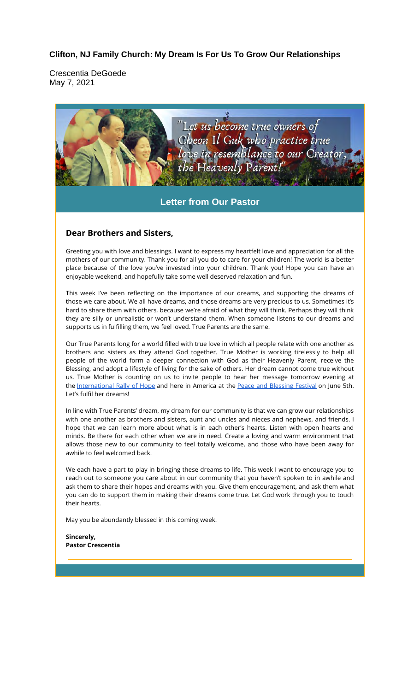### **Clifton, NJ Family Church: My Dream Is For Us To Grow Our Relationships**

Crescentia DeGoede May 7, 2021

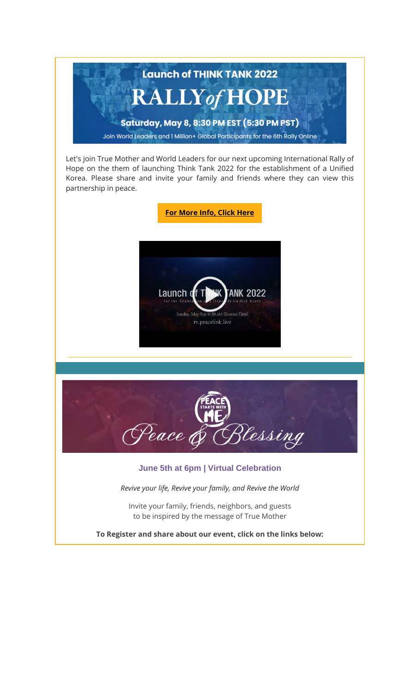

Let's join True Mother and World Leaders for our next upcoming International Rally of Hope on the them of launching Think Tank 2022 for the establishment of a Unified Korea. Please share and invite your family and friends where they can view this partnership in peace.

**For More Info, Click Here**





### **June 5th at 6pm | Virtual Celebration**

*Revive your life, Revive your family, and Revive the World*

Invite your family, friends, neighbors, and guests to be inspired by the message of True Mother

**To Register and share about our event, click on the links below:**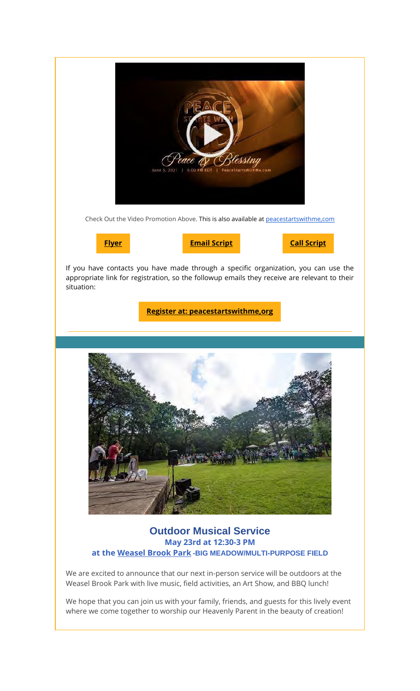

We hope that you can join us with your family, friends, and guests for this lively event where we come together to worship our Heavenly Parent in the beauty of creation!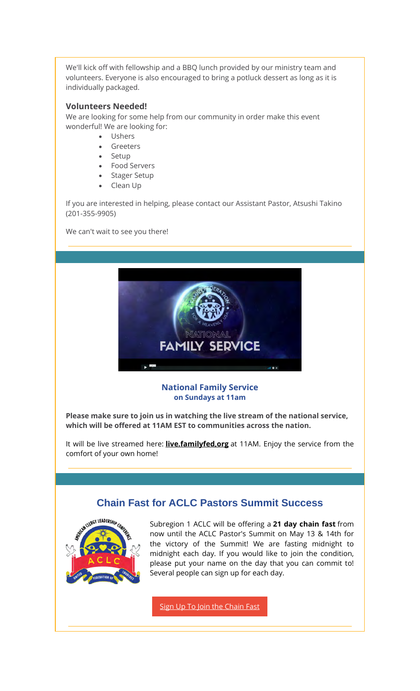We'll kick off with fellowship and a BBQ lunch provided by our ministry team and volunteers. Everyone is also encouraged to bring a potluck dessert as long as it is individually packaged.

## **Volunteers Needed!**

We are looking for some help from our community in order make this event wonderful! We are looking for:

- **Ushers**
- **Greeters**
- Setup
- Food Servers
- Stager Setup
- Clean Up

If you are interested in helping, please contact our Assistant Pastor, Atsushi Takino (201-355-9905)

We can't wait to see you there!



**National Family Service on Sundays at 11am**

**Please make sure to join us in watching the live stream of the national service, which will be offered at 11AM EST to communities across the nation.**

It will be live streamed here: **live.familyfed,org** at 11AM. Enjoy the service from the comfort of your own home!

# **Chain Fast for ACLC Pastors Summit Success**



Subregion 1 ACLC will be offering a **21 day chain fast** from now until the ACLC Pastor's Summit on May 13 & 14th for the victory of the Summit! We are fasting midnight to midnight each day. If you would like to join the condition, please put your name on the day that you can commit to! Several people can sign up for each day.

Sign Up To Join the Chain Fast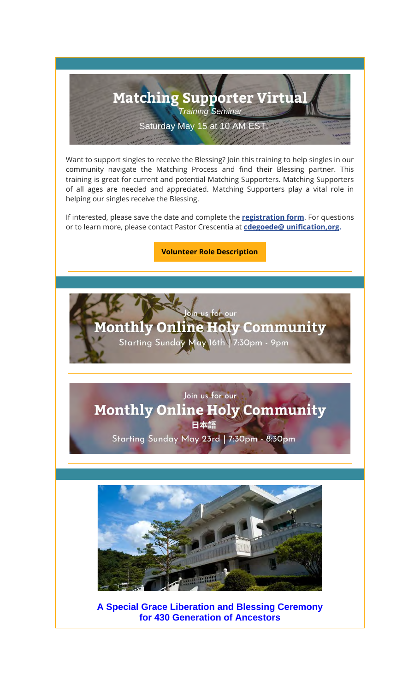

Want to support singles to receive the Blessing? Join this training to help singles in our community navigate the Matching Process and find their Blessing partner. This training is great for current and potential Matching Supporters. Matching Supporters of all ages are needed and appreciated. Matching Supporters play a vital role in helping our singles receive the Blessing.

If interested, please save the date and complete the **registration form**. For questions or to learn more, please contact Pastor Crescentia at **cdegoede@ unification,org.**

**Volunteer Role Description**



Join us for our **Monthly Online Holy Community** 日本語

Starting Sunday May 23rd | 7:30pm - 8:30pm



**A Special Grace Liberation and Blessing Ceremony for 430 Generation of Ancestors**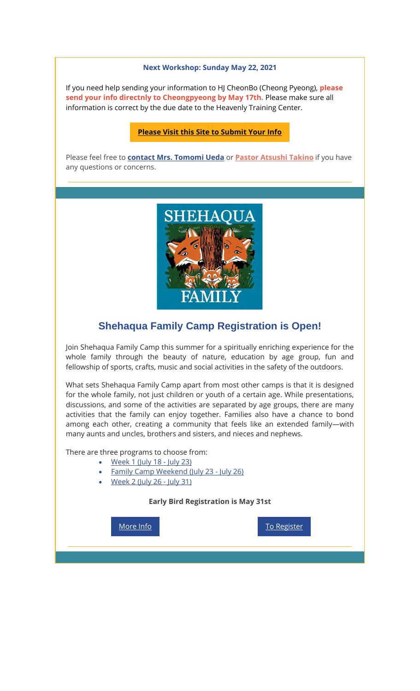#### **Next Workshop: Sunday May 22, 2021**

If you need help sending your information to HJ CheonBo (Cheong Pyeong), **please send your info directnly to Cheongpyeong by May 17th.** Please make sure all information is correct by the due date to the Heavenly Training Center.

#### **Please Visit this Site to Submit Your Info**

Please feel free to **contact Mrs. Tomomi Ueda** or **Pastor Atsushi Takino** if you have any questions or concerns.



## **Shehaqua Family Camp Registration is Open!**

Join Shehaqua Family Camp this summer for a spiritually enriching experience for the whole family through the beauty of nature, education by age group, fun and fellowship of sports, crafts, music and social activities in the safety of the outdoors.

What sets Shehaqua Family Camp apart from most other camps is that it is designed for the whole family, not just children or youth of a certain age. While presentations, discussions, and some of the activities are separated by age groups, there are many activities that the family can enjoy together. Families also have a chance to bond among each other, creating a community that feels like an extended family—with many aunts and uncles, brothers and sisters, and nieces and nephews.

There are three programs to choose from:

- Week 1 (July 18 July 23)
- Family Camp Weekend (July 23 July 26)
- Week 2 (July 26 July 31)

**Early Bird Registration is May 31st**

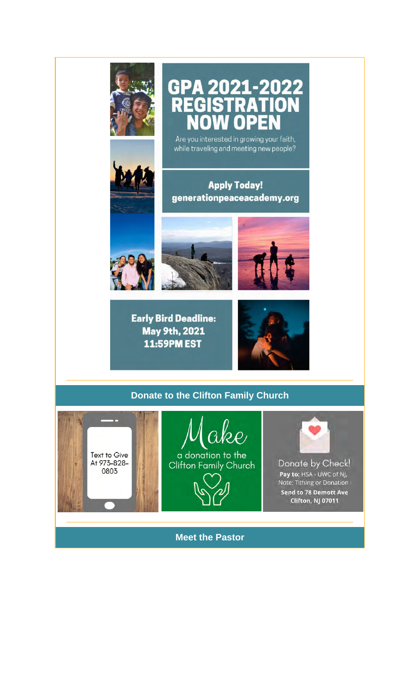



Are you interested in growing your faith, while traveling and meeting new people?

# **Apply Today!** generationpeaceacademy.org





**Early Bird Deadline:** May 9th, 2021 **11:59PM EST** 



## **Donate to the Clifton Family Church**









Donate by Check! **Pay to:** HSA - UWC of NJ,<br>Note: Tithing or Donation Send to 78 Demott Ave Clifton, NJ 07011

**Meet the Pastor**